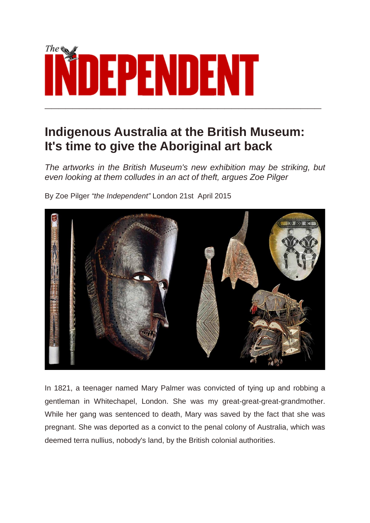

## **Indigenous Australia at the British Museum: It's time to give the Aboriginal art back**

*The artworks in the British Museum's new exhibition may be striking, but even looking at them colludes in an act of theft, argues Zoe Pilger*

By Zoe Pilger *"the Independent"* London 21st April 2015



In 1821, a teenager named Mary Palmer was convicted of tying up and robbing a gentleman in Whitechapel, London. She was my great-great-great-grandmother. While her gang was sentenced to death, Mary was saved by the fact that she was pregnant. She was deported as a convict to the penal colony of Australia, which was deemed terra nullius, nobody's land, by the British colonial authorities.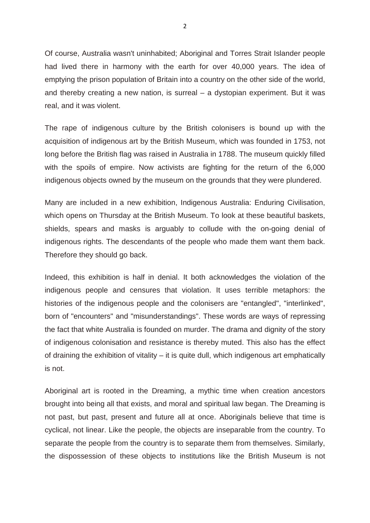Of course, Australia wasn't uninhabited; Aboriginal and Torres Strait Islander people had lived there in harmony with the earth for over 40,000 years. The idea of emptying the prison population of Britain into a country on the other side of the world, and thereby creating a new nation, is surreal – a dystopian experiment. But it was real, and it was violent.

The rape of indigenous culture by the British colonisers is bound up with the acquisition of indigenous art by the British Museum, which was founded in 1753, not long before the British flag was raised in Australia in 1788. The museum quickly filled with the spoils of empire. Now activists are fighting for the return of the 6,000 indigenous objects owned by the museum on the grounds that they were plundered.

Many are included in a new exhibition, Indigenous Australia: Enduring Civilisation, which opens on Thursday at the British Museum. To look at these beautiful baskets, shields, spears and masks is arguably to collude with the on-going denial of indigenous rights. The descendants of the people who made them want them back. Therefore they should go back.

Indeed, this exhibition is half in denial. It both acknowledges the violation of the indigenous people and censures that violation. It uses terrible metaphors: the histories of the indigenous people and the colonisers are "entangled", "interlinked", born of "encounters" and "misunderstandings". These words are ways of repressing the fact that white Australia is founded on murder. The drama and dignity of the story of indigenous colonisation and resistance is thereby muted. This also has the effect of draining the exhibition of vitality – it is quite dull, which indigenous art emphatically is not.

Aboriginal art is rooted in the Dreaming, a mythic time when creation ancestors brought into being all that exists, and moral and spiritual law began. The Dreaming is not past, but past, present and future all at once. Aboriginals believe that time is cyclical, not linear. Like the people, the objects are inseparable from the country. To separate the people from the country is to separate them from themselves. Similarly, the dispossession of these objects to institutions like the British Museum is not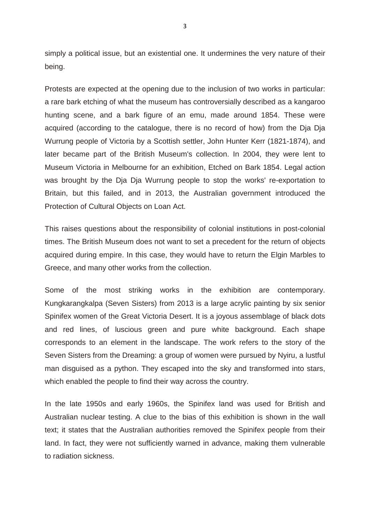simply a political issue, but an existential one. It undermines the very nature of their being.

Protests are expected at the opening due to the inclusion of two works in particular: a rare bark etching of what the museum has controversially described as a kangaroo hunting scene, and a bark figure of an emu, made around 1854. These were acquired (according to the catalogue, there is no record of how) from the Dja Dja Wurrung people of Victoria by a Scottish settler, John Hunter Kerr (1821-1874), and later became part of the British Museum's collection. In 2004, they were lent to Museum Victoria in Melbourne for an exhibition, Etched on Bark 1854. Legal action was brought by the Dja Dja Wurrung people to stop the works' re-exportation to Britain, but this failed, and in 2013, the Australian government introduced the Protection of Cultural Objects on Loan Act.

This raises questions about the responsibility of colonial institutions in post-colonial times. The British Museum does not want to set a precedent for the return of objects acquired during empire. In this case, they would have to return the Elgin Marbles to Greece, and many other works from the collection.

Some of the most striking works in the exhibition are contemporary. Kungkarangkalpa (Seven Sisters) from 2013 is a large acrylic painting by six senior Spinifex women of the Great Victoria Desert. It is a joyous assemblage of black dots and red lines, of luscious green and pure white background. Each shape corresponds to an element in the landscape. The work refers to the story of the Seven Sisters from the Dreaming: a group of women were pursued by Nyiru, a lustful man disguised as a python. They escaped into the sky and transformed into stars, which enabled the people to find their way across the country.

In the late 1950s and early 1960s, the Spinifex land was used for British and Australian nuclear testing. A clue to the bias of this exhibition is shown in the wall text; it states that the Australian authorities removed the Spinifex people from their land. In fact, they were not sufficiently warned in advance, making them vulnerable to radiation sickness.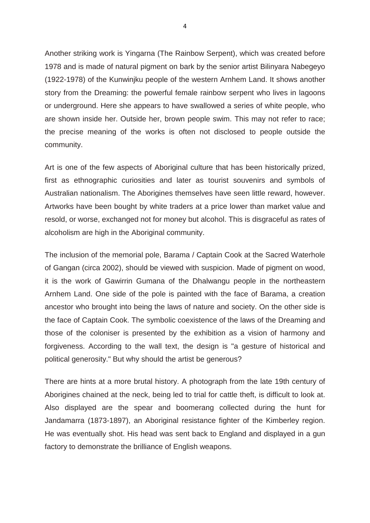Another striking work is Yingarna (The Rainbow Serpent), which was created before 1978 and is made of natural pigment on bark by the senior artist Bilinyara Nabegeyo (1922-1978) of the Kunwinjku people of the western Arnhem Land. It shows another story from the Dreaming: the powerful female rainbow serpent who lives in lagoons or underground. Here she appears to have swallowed a series of white people, who are shown inside her. Outside her, brown people swim. This may not refer to race; the precise meaning of the works is often not disclosed to people outside the community.

Art is one of the few aspects of Aboriginal culture that has been historically prized, first as ethnographic curiosities and later as tourist souvenirs and symbols of Australian nationalism. The Aborigines themselves have seen little reward, however. Artworks have been bought by white traders at a price lower than market value and resold, or worse, exchanged not for money but alcohol. This is disgraceful as rates of alcoholism are high in the Aboriginal community.

The inclusion of the memorial pole, Barama / Captain Cook at the Sacred Waterhole of Gangan (circa 2002), should be viewed with suspicion. Made of pigment on wood, it is the work of Gawirrin Gumana of the Dhalwangu people in the northeastern Arnhem Land. One side of the pole is painted with the face of Barama, a creation ancestor who brought into being the laws of nature and society. On the other side is the face of Captain Cook. The symbolic coexistence of the laws of the Dreaming and those of the coloniser is presented by the exhibition as a vision of harmony and forgiveness. According to the wall text, the design is "a gesture of historical and political generosity." But why should the artist be generous?

There are hints at a more brutal history. A photograph from the late 19th century of Aborigines chained at the neck, being led to trial for cattle theft, is difficult to look at. Also displayed are the spear and boomerang collected during the hunt for Jandamarra (1873-1897), an Aboriginal resistance fighter of the Kimberley region. He was eventually shot. His head was sent back to England and displayed in a gun factory to demonstrate the brilliance of English weapons.

4